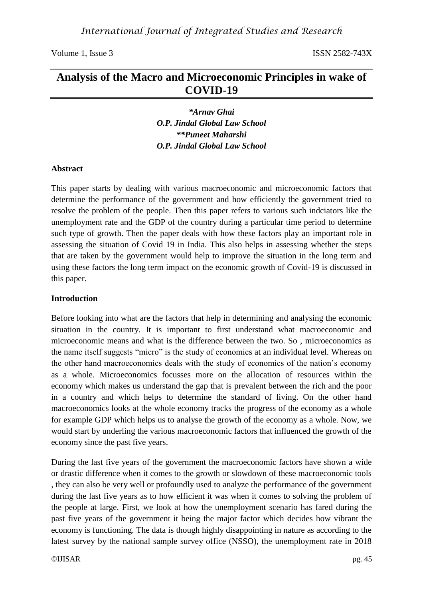# **Analysis of the Macro and Microeconomic Principles in wake of COVID-19**

*\*Arnav Ghai O.P. Jindal Global Law School \*\*Puneet Maharshi O.P. Jindal Global Law School*

### **Abstract**

This paper starts by dealing with various macroeconomic and microeconomic factors that determine the performance of the government and how efficiently the government tried to resolve the problem of the people. Then this paper refers to various such indciators like the unemployment rate and the GDP of the country during a particular time period to determine such type of growth. Then the paper deals with how these factors play an important role in assessing the situation of Covid 19 in India. This also helps in assessing whether the steps that are taken by the government would help to improve the situation in the long term and using these factors the long term impact on the economic growth of Covid-19 is discussed in this paper.

### **Introduction**

Before looking into what are the factors that help in determining and analysing the economic situation in the country. It is important to first understand what macroeconomic and microeconomic means and what is the difference between the two. So , microeconomics as the name itself suggests "micro" is the study of economics at an individual level. Whereas on the other hand macroeconomics deals with the study of economics of the nation's economy as a whole. Microeconomics focusses more on the allocation of resources within the economy which makes us understand the gap that is prevalent between the rich and the poor in a country and which helps to determine the standard of living. On the other hand macroeconomics looks at the whole economy tracks the progress of the economy as a whole for example GDP which helps us to analyse the growth of the economy as a whole. Now, we would start by underling the various macroeconomic factors that influenced the growth of the economy since the past five years.

During the last five years of the government the macroeconomic factors have shown a wide or drastic difference when it comes to the growth or slowdown of these macroeconomic tools , they can also be very well or profoundly used to analyze the performance of the government during the last five years as to how efficient it was when it comes to solving the problem of the people at large. First, we look at how the unemployment scenario has fared during the past five years of the government it being the major factor which decides how vibrant the economy is functioning. The data is though highly disappointing in nature as according to the latest survey by the national sample survey office (NSSO), the unemployment rate in 2018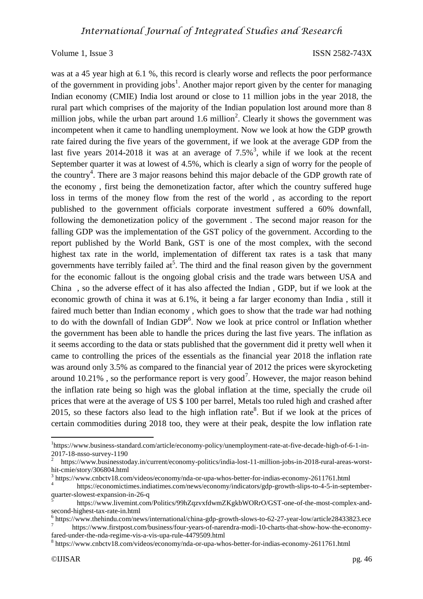was at a 45 year high at 6.1 %, this record is clearly worse and reflects the poor performance of the government in providing jobs<sup>1</sup>. Another major report given by the center for managing Indian economy (CMIE) India lost around or close to 11 million jobs in the year 2018, the rural part which comprises of the majority of the Indian population lost around more than 8 million jobs, while the urban part around 1.6 million<sup>2</sup>. Clearly it shows the government was incompetent when it came to handling unemployment. Now we look at how the GDP growth rate faired during the five years of the government, if we look at the average GDP from the last five years 2014-2018 it was at an average of  $7.5\%$ <sup>3</sup>, while if we look at the recent September quarter it was at lowest of 4.5%, which is clearly a sign of worry for the people of the country<sup>4</sup>. There are 3 major reasons behind this major debacle of the GDP growth rate of the economy , first being the demonetization factor, after which the country suffered huge loss in terms of the money flow from the rest of the world , as according to the report published to the government officials corporate investment suffered a 60% downfall, following the demonetization policy of the government . The second major reason for the falling GDP was the implementation of the GST policy of the government. According to the report published by the World Bank, GST is one of the most complex, with the second highest tax rate in the world, implementation of different tax rates is a task that many governments have terribly failed  $at^5$ . The third and the final reason given by the government for the economic fallout is the ongoing global crisis and the trade wars between USA and China , so the adverse effect of it has also affected the Indian , GDP, but if we look at the economic growth of china it was at 6.1%, it being a far larger economy than India , still it faired much better than Indian economy , which goes to show that the trade war had nothing to do with the downfall of Indian  $GDP<sup>6</sup>$ . Now we look at price control or Inflation whether the government has been able to handle the prices during the last five years. The inflation as it seems according to the data or stats published that the government did it pretty well when it came to controlling the prices of the essentials as the financial year 2018 the inflation rate was around only 3.5% as compared to the financial year of 2012 the prices were skyrocketing around 10.21%, so the performance report is very good<sup>7</sup>. However, the major reason behind the inflation rate being so high was the global inflation at the time, specially the crude oil prices that were at the average of US \$ 100 per barrel, Metals too ruled high and crashed after 2015, so these factors also lead to the high inflation rate<sup>8</sup>. But if we look at the prices of certain commodities during 2018 too, they were at their peak, despite the low inflation rate

l

<sup>&</sup>lt;sup>1</sup>https://www.business-standard.com/article/economy-policy/unemployment-rate-at-five-decade-high-of-6-1-in-2017-18-nsso-survey-1190

<sup>2</sup> https://www.businesstoday.in/current/economy-politics/india-lost-11-million-jobs-in-2018-rural-areas-worsthit-cmie/story/306804.html

<sup>&</sup>lt;sup>3</sup> https://www.cnbctv18.com/videos/economy/nda-or-upa-whos-better-for-indias-economy-2611761.html

<sup>4</sup> https://economictimes.indiatimes.com/news/economy/indicators/gdp-growth-slips-to-4-5-in-septemberquarter-slowest-expansion-in-26-q

<sup>5</sup> https://www.livemint.com/Politics/99hZqzvxfdwmZKgkbWORrO/GST-one-of-the-most-complex-andsecond-highest-tax-rate-in.html

<sup>&</sup>lt;sup>6</sup> https://www.thehindu.com/news/international/china-gdp-growth-slows-to-62-27-year-low/article28433823.ece 7 https://www.firstpost.com/business/four-years-of-narendra-modi-10-charts-that-show-how-the-economy-

fared-under-the-nda-regime-vis-a-vis-upa-rule-4479509.html

<sup>8</sup> https://www.cnbctv18.com/videos/economy/nda-or-upa-whos-better-for-indias-economy-2611761.html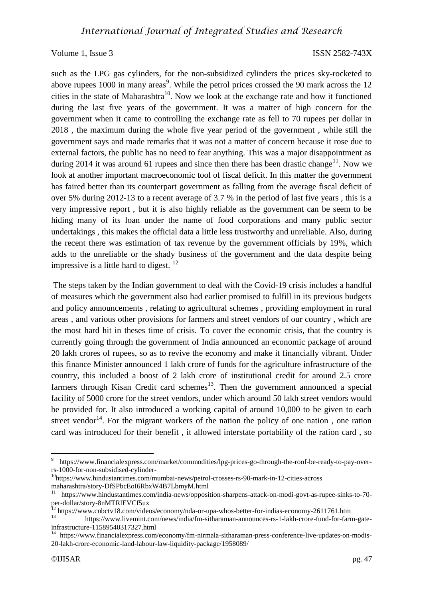such as the LPG gas cylinders, for the non-subsidized cylinders the prices sky-rocketed to above rupees  $1000$  in many areas<sup>9</sup>. While the petrol prices crossed the 90 mark across the 12 cities in the state of Maharashtra<sup>10</sup>. Now we look at the exchange rate and how it functioned during the last five years of the government. It was a matter of high concern for the government when it came to controlling the exchange rate as fell to 70 rupees per dollar in 2018 , the maximum during the whole five year period of the government , while still the government says and made remarks that it was not a matter of concern because it rose due to external factors, the public has no need to fear anything. This was a major disappointment as during 2014 it was around 61 rupees and since then there has been drastic change<sup>11</sup>. Now we look at another important macroeconomic tool of fiscal deficit. In this matter the government has faired better than its counterpart government as falling from the average fiscal deficit of over 5% during 2012-13 to a recent average of 3.7 % in the period of last five years , this is a very impressive report , but it is also highly reliable as the government can be seem to be hiding many of its loan under the name of food corporations and many public sector undertakings , this makes the official data a little less trustworthy and unreliable. Also, during the recent there was estimation of tax revenue by the government officials by 19%, which adds to the unreliable or the shady business of the government and the data despite being impressive is a little hard to digest.  $12$ 

The steps taken by the Indian government to deal with the Covid-19 crisis includes a handful of measures which the government also had earlier promised to fulfill in its previous budgets and policy announcements , relating to agricultural schemes , providing employment in rural areas , and various other provisions for farmers and street vendors of our country , which are the most hard hit in theses time of crisis. To cover the economic crisis, that the country is currently going through the government of India announced an economic package of around 20 lakh crores of rupees, so as to revive the economy and make it financially vibrant. Under this finance Minister announced 1 lakh crore of funds for the agriculture infrastructure of the country, this included a boost of 2 lakh crore of institutional credit for around 2.5 crore farmers through Kisan Credit card schemes<sup>13</sup>. Then the government announced a special facility of 5000 crore for the street vendors, under which around 50 lakh street vendors would be provided for. It also introduced a working capital of around 10,000 to be given to each street vendor<sup>14</sup>. For the migrant workers of the nation the policy of one nation, one ration card was introduced for their benefit , it allowed interstate portability of the ration card , so

 $\overline{a}$ 

<sup>9</sup> https://www.financialexpress.com/market/commodities/lpg-prices-go-through-the-roof-be-ready-to-pay-overrs-1000-for-non-subsidised-cylinder-

<sup>&</sup>lt;sup>10</sup>https://www.hindustantimes.com/mumbai-news/petrol-crosses-rs-90-mark-in-12-cities-across maharashtra/story-DfSPbcEoI6RbxW4B7LbmyM.html

<sup>11</sup> https://www.hindustantimes.com/india-news/opposition-sharpens-attack-on-modi-govt-as-rupee-sinks-to-70 per-dollar/story-8nMTRlEVCf5ux

<sup>&</sup>lt;sup>12</sup> https://www.cnbctv18.com/videos/economy/nda-or-upa-whos-better-for-indias-economy-2611761.htm

<sup>13&</sup>lt;br>https://www.livemint.com/news/india/fm-sitharaman-announces-rs-1-lakh-crore-fund-for-farm-gateinfrastructure-11589540317327.html

<sup>&</sup>lt;sup>14</sup> https://www.financialexpress.com/economy/fm-nirmala-sitharaman-press-conference-live-updates-on-modis-20-lakh-crore-economic-land-labour-law-liquidity-package/1958089/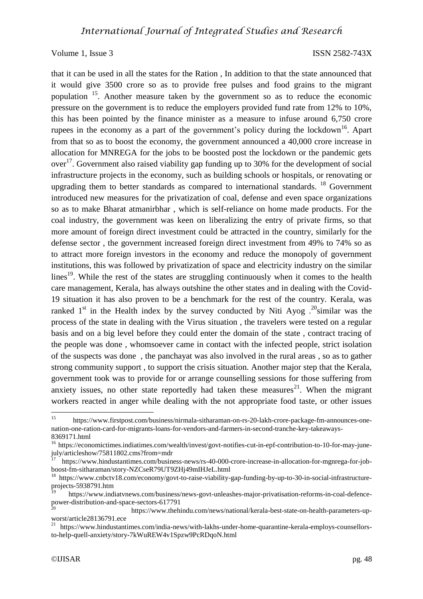that it can be used in all the states for the Ration , In addition to that the state announced that it would give 3500 crore so as to provide free pulses and food grains to the migrant population <sup>15</sup>. Another measure taken by the government so as to reduce the economic pressure on the government is to reduce the employers provided fund rate from 12% to 10%, this has been pointed by the finance minister as a measure to infuse around 6,750 crore rupees in the economy as a part of the government's policy during the lockdown<sup>16</sup>. Apart from that so as to boost the economy, the government announced a 40,000 crore increase in allocation for MNREGA for the jobs to be boosted post the lockdown or the pandemic gets over<sup>17</sup>. Government also raised viability gap funding up to 30% for the development of social infrastructure projects in the economy, such as building schools or hospitals, or renovating or upgrading them to better standards as compared to international standards.<sup>18</sup> Government introduced new measures for the privatization of coal, defense and even space organizations so as to make Bharat atmanirbhar , which is self-reliance on home made products. For the coal industry, the government was keen on liberalizing the entry of private firms, so that more amount of foreign direct investment could be attracted in the country, similarly for the defense sector , the government increased foreign direct investment from 49% to 74% so as to attract more foreign investors in the economy and reduce the monopoly of government institutions, this was followed by privatization of space and electricity industry on the similar lines<sup>19</sup>. While the rest of the states are struggling continuously when it comes to the health care management, Kerala, has always outshine the other states and in dealing with the Covid-19 situation it has also proven to be a benchmark for the rest of the country. Kerala, was ranked  $1<sup>st</sup>$  in the Health index by the survey conducted by Niti Ayog  $.^{20}$ similar was the process of the state in dealing with the Virus situation , the travelers were tested on a regular basis and on a big level before they could enter the domain of the state , contract tracing of the people was done , whomsoever came in contact with the infected people, strict isolation of the suspects was done , the panchayat was also involved in the rural areas , so as to gather strong community support , to support the crisis situation. Another major step that the Kerala, government took was to provide for or arrange counselling sessions for those suffering from anxiety issues, no other state reportedly had taken these measures<sup>21</sup>. When the migrant workers reacted in anger while dealing with the not appropriate food taste, or other issues

 $15$ <sup>15</sup> https://www.firstpost.com/business/nirmala-sitharaman-on-rs-20-lakh-crore-package-fm-announces-onenation-one-ration-card-for-migrants-loans-for-vendors-and-farmers-in-second-tranche-key-takeaways-8369171.html

<sup>&</sup>lt;sup>16</sup> https://economictimes.indiatimes.com/wealth/invest/govt-notifies-cut-in-epf-contribution-to-10-for-may-junejuly/articleshow/75811802.cms?from=mdr

<sup>17</sup> https://www.hindustantimes.com/business-news/rs-40-000-crore-increase-in-allocation-for-mgnrega-for-jobboost-fm-sitharaman/story-NZCseR79UT9ZHj49mIHJeL.html

<sup>18</sup> https://www.cnbctv18.com/economy/govt-to-raise-viability-gap-funding-by-up-to-30-in-social-infrastructureprojects-5938791.htm

<sup>19</sup> https://www.indiatvnews.com/business/news-govt-unleashes-major-privatisation-reforms-in-coal-defencepower-distribution-and-space-sectors-617791

<sup>20</sup> https://www.thehindu.com/news/national/kerala-best-state-on-health-parameters-upworst/article28136791.ece

<sup>21</sup> https://www.hindustantimes.com/india-news/with-lakhs-under-home-quarantine-kerala-employs-counsellorsto-help-quell-anxiety/story-7kWuREW4v1Spzw9PcRDqoN.html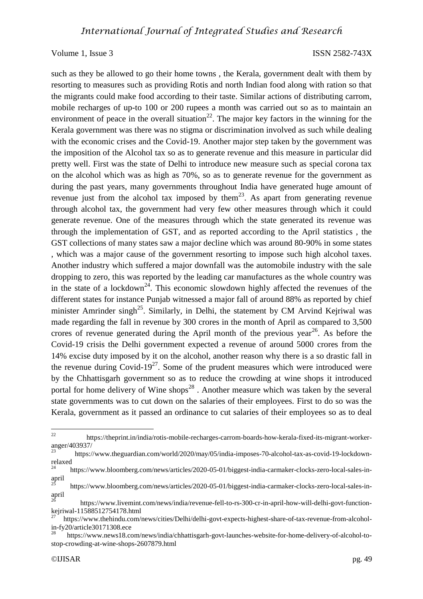such as they be allowed to go their home towns , the Kerala, government dealt with them by resorting to measures such as providing Rotis and north Indian food along with ration so that the migrants could make food according to their taste. Similar actions of distributing carrom, mobile recharges of up-to 100 or 200 rupees a month was carried out so as to maintain an environment of peace in the overall situation<sup>22</sup>. The major key factors in the winning for the Kerala government was there was no stigma or discrimination involved as such while dealing with the economic crises and the Covid-19. Another major step taken by the government was the imposition of the Alcohol tax so as to generate revenue and this measure in particular did pretty well. First was the state of Delhi to introduce new measure such as special corona tax on the alcohol which was as high as 70%, so as to generate revenue for the government as during the past years, many governments throughout India have generated huge amount of revenue just from the alcohol tax imposed by them<sup>23</sup>. As apart from generating revenue through alcohol tax, the government had very few other measures through which it could generate revenue. One of the measures through which the state generated its revenue was through the implementation of GST, and as reported according to the April statistics , the GST collections of many states saw a major decline which was around 80-90% in some states , which was a major cause of the government resorting to impose such high alcohol taxes. Another industry which suffered a major downfall was the automobile industry with the sale dropping to zero, this was reported by the leading car manufactures as the whole country was in the state of a lockdown<sup>24</sup>. This economic slowdown highly affected the revenues of the different states for instance Punjab witnessed a major fall of around 88% as reported by chief minister Amrinder singh<sup>25</sup>. Similarly, in Delhi, the statement by CM Arvind Kejriwal was made regarding the fall in revenue by 300 crores in the month of April as compared to 3,500 crores of revenue generated during the April month of the previous year<sup>26</sup>. As before the Covid-19 crisis the Delhi government expected a revenue of around 5000 crores from the 14% excise duty imposed by it on the alcohol, another reason why there is a so drastic fall in the revenue during Covid-19<sup>27</sup>. Some of the prudent measures which were introduced were by the Chhattisgarh government so as to reduce the crowding at wine shops it introduced portal for home delivery of Wine shops<sup>28</sup>. Another measure which was taken by the several state governments was to cut down on the salaries of their employees. First to do so was the Kerala, government as it passed an ordinance to cut salaries of their employees so as to deal

 $22$ <sup>22</sup> https://theprint.in/india/rotis-mobile-recharges-carrom-boards-how-kerala-fixed-its-migrant-workeranger/403937/

<sup>23</sup> https://www.theguardian.com/world/2020/may/05/india-imposes-70-alcohol-tax-as-covid-19-lockdownrelaxed<br> $24$ 

<sup>24</sup> https://www.bloomberg.com/news/articles/2020-05-01/biggest-india-carmaker-clocks-zero-local-sales-inapril

<sup>25</sup> https://www.bloomberg.com/news/articles/2020-05-01/biggest-india-carmaker-clocks-zero-local-sales-inapril

<sup>26</sup> https://www.livemint.com/news/india/revenue-fell-to-rs-300-cr-in-april-how-will-delhi-govt-functionkejriwal-11588512754178.html

<sup>27</sup> https://www.thehindu.com/news/cities/Delhi/delhi-govt-expects-highest-share-of-tax-revenue-from-alcoholin-fy20/article30171308.ece

<sup>28</sup> https://www.news18.com/news/india/chhattisgarh-govt-launches-website-for-home-delivery-of-alcohol-tostop-crowding-at-wine-shops-2607879.html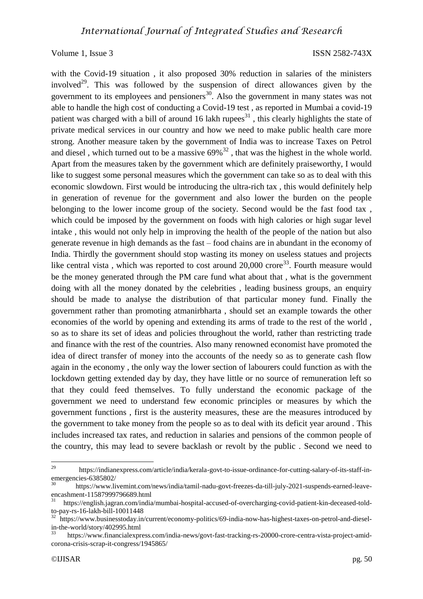with the Covid-19 situation , it also proposed 30% reduction in salaries of the ministers involved<sup>29</sup>. This was followed by the suspension of direct allowances given by the government to its employees and pensioners<sup>30</sup>. Also the government in many states was not able to handle the high cost of conducting a Covid-19 test , as reported in Mumbai a covid-19 patient was charged with a bill of around 16 lakh rupees<sup>31</sup>, this clearly highlights the state of private medical services in our country and how we need to make public health care more strong. Another measure taken by the government of India was to increase Taxes on Petrol and diesel, which turned out to be a massive  $69\%^{32}$ , that was the highest in the whole world. Apart from the measures taken by the government which are definitely praiseworthy, I would like to suggest some personal measures which the government can take so as to deal with this economic slowdown. First would be introducing the ultra-rich tax , this would definitely help in generation of revenue for the government and also lower the burden on the people belonging to the lower income group of the society. Second would be the fast food tax , which could be imposed by the government on foods with high calories or high sugar level intake , this would not only help in improving the health of the people of the nation but also generate revenue in high demands as the fast – food chains are in abundant in the economy of India. Thirdly the government should stop wasting its money on useless statues and projects like central vista, which was reported to cost around  $20,000$  crore<sup>33</sup>. Fourth measure would be the money generated through the PM care fund what about that , what is the government doing with all the money donated by the celebrities , leading business groups, an enquiry should be made to analyse the distribution of that particular money fund. Finally the government rather than promoting atmanirbharta , should set an example towards the other economies of the world by opening and extending its arms of trade to the rest of the world , so as to share its set of ideas and policies throughout the world, rather than restricting trade and finance with the rest of the countries. Also many renowned economist have promoted the idea of direct transfer of money into the accounts of the needy so as to generate cash flow again in the economy , the only way the lower section of labourers could function as with the lockdown getting extended day by day, they have little or no source of remuneration left so that they could feed themselves. To fully understand the economic package of the government we need to understand few economic principles or measures by which the government functions , first is the austerity measures, these are the measures introduced by the government to take money from the people so as to deal with its deficit year around . This includes increased tax rates, and reduction in salaries and pensions of the common people of the country, this may lead to severe backlash or revolt by the public . Second we need to

<sup>29</sup> <sup>29</sup> https://indianexpress.com/article/india/kerala-govt-to-issue-ordinance-for-cutting-salary-of-its-staff-inemergencies-6385802/

<sup>30</sup> https://www.livemint.com/news/india/tamil-nadu-govt-freezes-da-till-july-2021-suspends-earned-leaveencashment-11587999796689.html

<sup>31</sup> https://english.jagran.com/india/mumbai-hospital-accused-of-overcharging-covid-patient-kin-deceased-toldto-pay-rs-16-lakh-bill-10011448

<sup>32</sup> https://www.businesstoday.in/current/economy-politics/69-india-now-has-highest-taxes-on-petrol-and-dieselin-the-world/story/402995.html

<sup>33</sup> https://www.financialexpress.com/india-news/govt-fast-tracking-rs-20000-crore-centra-vista-project-amidcorona-crisis-scrap-it-congress/1945865/